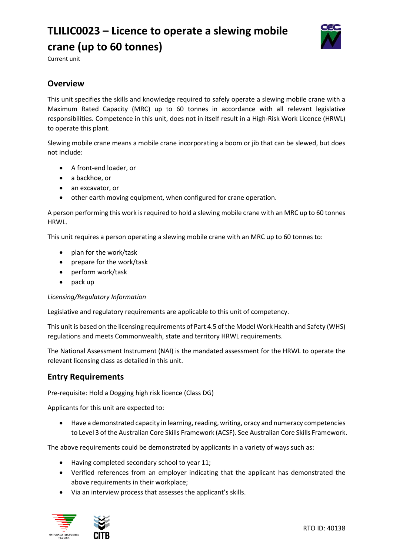# **TLILIC0023 – Licence to operate a slewing mobile crane (up to 60 tonnes)**



Current unit

# **Overview**

This unit specifies the skills and knowledge required to safely operate a slewing mobile crane with a Maximum Rated Capacity (MRC) up to 60 tonnes in accordance with all relevant legislative responsibilities. Competence in this unit, does not in itself result in a High-Risk Work Licence (HRWL) to operate this plant.

Slewing mobile crane means a mobile crane incorporating a boom or jib that can be slewed, but does not include:

- A front-end loader, or
- a backhoe, or
- an excavator, or
- other earth moving equipment, when configured for crane operation.

A person performing this work is required to hold a slewing mobile crane with an MRC up to 60 tonnes HRWL.

This unit requires a person operating a slewing mobile crane with an MRC up to 60 tonnes to:

- plan for the work/task
- prepare for the work/task
- perform work/task
- pack up

#### *Licensing/Regulatory Information*

Legislative and regulatory requirements are applicable to this unit of competency.

This unit is based on the licensing requirements of Part 4.5 of the Model Work Health and Safety (WHS) regulations and meets Commonwealth, state and territory HRWL requirements.

The National Assessment Instrument (NAI) is the mandated assessment for the HRWL to operate the relevant licensing class as detailed in this unit.

### **Entry Requirements**

Pre-requisite: Hold a Dogging high risk licence (Class DG)

Applicants for this unit are expected to:

• Have a demonstrated capacity in learning, reading, writing, oracy and numeracy competencies to Level 3 of the Australian Core Skills Framework (ACSF). See Australian Core Skills Framework.

The above requirements could be demonstrated by applicants in a variety of ways such as:

- Having completed secondary school to year 11;
- Verified references from an employer indicating that the applicant has demonstrated the above requirements in their workplace;
- Via an interview process that assesses the applicant's skills.